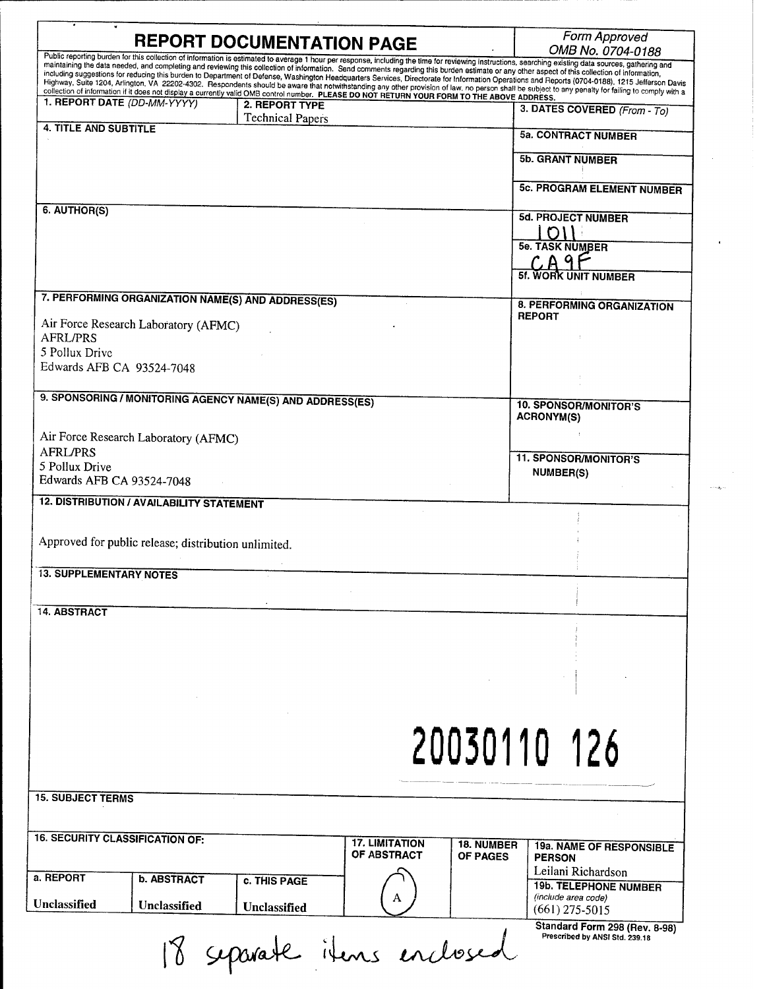| Public reporting burden for this collection of information is estimated to average 1 hour per response, including the time for reviewing instructions, searching existing data sources, gathering and<br>maintaining the data needed, and completing and reviewing this collection of information. Send comments regarding this burden estimate or any other aspect of this collection of information,<br>including suggestions for reducing this burden to Department of Defense, Washington Headquarters Services, Directorate for Information Operations and Reports (0704-0188), 1215 Jefferson Davis<br>Highway, Suite 1204, Arlington, VA 22202-4302. Respondents should be aware that notwithstanding any other provision of law, no person shall be subject to any penalty for failing to comply with a<br>collection of information if it does not display a currently valid OMB control number. PLEASE DO NOT RETURN YOUR FORM TO THE ABOVE ADDRESS.<br>2. REPORT TYPE<br>3. DATES COVERED (From - To)<br><b>Technical Papers</b><br><b>4. TITLE AND SUBTITLE</b><br><b>5a. CONTRACT NUMBER</b><br><b>5b. GRANT NUMBER</b><br><b>5c. PROGRAM ELEMENT NUMBER</b><br>6. AUTHOR(S)<br><b>5d. PROJECT NUMBER</b><br><b>5e. TASK NUMBER</b><br><b>5f. WORK UNIT NUMBER</b><br>7. PERFORMING ORGANIZATION NAME(S) AND ADDRESS(ES)<br>8. PERFORMING ORGANIZATION<br><b>REPORT</b><br>Air Force Research Laboratory (AFMC)<br><b>AFRL/PRS</b><br>5 Pollux Drive<br>Edwards AFB CA 93524-7048<br>9. SPONSORING / MONITORING AGENCY NAME(S) AND ADDRESS(ES)<br><b>10. SPONSOR/MONITOR'S</b><br><b>ACRONYM(S)</b><br>Air Force Research Laboratory (AFMC)<br><b>11. SPONSOR/MONITOR'S</b><br>5 Pollux Drive<br><b>NUMBER(S)</b><br>Edwards AFB CA 93524-7048<br><b>12. DISTRIBUTION / AVAILABILITY STATEMENT</b><br>Approved for public release; distribution unlimited.<br><b>13. SUPPLEMENTARY NOTES</b><br><b>14. ABSTRACT</b><br>20030110 126<br><b>17. LIMITATION</b><br><b>18. NUMBER</b><br>19a. NAME OF RESPONSIBLE<br>OF ABSTRACT<br>OF PAGES<br><b>PERSON</b><br>Leilani Richardson<br><b>b. ABSTRACT</b><br><b>c. THIS PAGE</b><br><b>19b. TELEPHONE NUMBER</b><br>(include area code)<br>Unclassified<br>Unclassified<br>$(661)$ 275-5015<br>Prescribed by ANSI Std. 239.18<br>8 separate items enclosed | <b>REPORT DOCUMENTATION PAGE</b>       |  | Form Approved<br>OMB No. 0704-0188 |
|---------------------------------------------------------------------------------------------------------------------------------------------------------------------------------------------------------------------------------------------------------------------------------------------------------------------------------------------------------------------------------------------------------------------------------------------------------------------------------------------------------------------------------------------------------------------------------------------------------------------------------------------------------------------------------------------------------------------------------------------------------------------------------------------------------------------------------------------------------------------------------------------------------------------------------------------------------------------------------------------------------------------------------------------------------------------------------------------------------------------------------------------------------------------------------------------------------------------------------------------------------------------------------------------------------------------------------------------------------------------------------------------------------------------------------------------------------------------------------------------------------------------------------------------------------------------------------------------------------------------------------------------------------------------------------------------------------------------------------------------------------------------------------------------------------------------------------------------------------------------------------------------------------------------------------------------------------------------------------------------------------------------------------------------------------------------------------------------------------------------------------------------------------------------------------------------------------------------------------------------------------------------------------------------------------------------|----------------------------------------|--|------------------------------------|
|                                                                                                                                                                                                                                                                                                                                                                                                                                                                                                                                                                                                                                                                                                                                                                                                                                                                                                                                                                                                                                                                                                                                                                                                                                                                                                                                                                                                                                                                                                                                                                                                                                                                                                                                                                                                                                                                                                                                                                                                                                                                                                                                                                                                                                                                                                                     |                                        |  |                                    |
|                                                                                                                                                                                                                                                                                                                                                                                                                                                                                                                                                                                                                                                                                                                                                                                                                                                                                                                                                                                                                                                                                                                                                                                                                                                                                                                                                                                                                                                                                                                                                                                                                                                                                                                                                                                                                                                                                                                                                                                                                                                                                                                                                                                                                                                                                                                     |                                        |  |                                    |
|                                                                                                                                                                                                                                                                                                                                                                                                                                                                                                                                                                                                                                                                                                                                                                                                                                                                                                                                                                                                                                                                                                                                                                                                                                                                                                                                                                                                                                                                                                                                                                                                                                                                                                                                                                                                                                                                                                                                                                                                                                                                                                                                                                                                                                                                                                                     | 1. REPORT DATE (DD-MM-YYYY)            |  |                                    |
|                                                                                                                                                                                                                                                                                                                                                                                                                                                                                                                                                                                                                                                                                                                                                                                                                                                                                                                                                                                                                                                                                                                                                                                                                                                                                                                                                                                                                                                                                                                                                                                                                                                                                                                                                                                                                                                                                                                                                                                                                                                                                                                                                                                                                                                                                                                     |                                        |  |                                    |
|                                                                                                                                                                                                                                                                                                                                                                                                                                                                                                                                                                                                                                                                                                                                                                                                                                                                                                                                                                                                                                                                                                                                                                                                                                                                                                                                                                                                                                                                                                                                                                                                                                                                                                                                                                                                                                                                                                                                                                                                                                                                                                                                                                                                                                                                                                                     |                                        |  |                                    |
|                                                                                                                                                                                                                                                                                                                                                                                                                                                                                                                                                                                                                                                                                                                                                                                                                                                                                                                                                                                                                                                                                                                                                                                                                                                                                                                                                                                                                                                                                                                                                                                                                                                                                                                                                                                                                                                                                                                                                                                                                                                                                                                                                                                                                                                                                                                     |                                        |  |                                    |
|                                                                                                                                                                                                                                                                                                                                                                                                                                                                                                                                                                                                                                                                                                                                                                                                                                                                                                                                                                                                                                                                                                                                                                                                                                                                                                                                                                                                                                                                                                                                                                                                                                                                                                                                                                                                                                                                                                                                                                                                                                                                                                                                                                                                                                                                                                                     |                                        |  |                                    |
|                                                                                                                                                                                                                                                                                                                                                                                                                                                                                                                                                                                                                                                                                                                                                                                                                                                                                                                                                                                                                                                                                                                                                                                                                                                                                                                                                                                                                                                                                                                                                                                                                                                                                                                                                                                                                                                                                                                                                                                                                                                                                                                                                                                                                                                                                                                     |                                        |  |                                    |
|                                                                                                                                                                                                                                                                                                                                                                                                                                                                                                                                                                                                                                                                                                                                                                                                                                                                                                                                                                                                                                                                                                                                                                                                                                                                                                                                                                                                                                                                                                                                                                                                                                                                                                                                                                                                                                                                                                                                                                                                                                                                                                                                                                                                                                                                                                                     |                                        |  |                                    |
|                                                                                                                                                                                                                                                                                                                                                                                                                                                                                                                                                                                                                                                                                                                                                                                                                                                                                                                                                                                                                                                                                                                                                                                                                                                                                                                                                                                                                                                                                                                                                                                                                                                                                                                                                                                                                                                                                                                                                                                                                                                                                                                                                                                                                                                                                                                     |                                        |  |                                    |
|                                                                                                                                                                                                                                                                                                                                                                                                                                                                                                                                                                                                                                                                                                                                                                                                                                                                                                                                                                                                                                                                                                                                                                                                                                                                                                                                                                                                                                                                                                                                                                                                                                                                                                                                                                                                                                                                                                                                                                                                                                                                                                                                                                                                                                                                                                                     |                                        |  |                                    |
|                                                                                                                                                                                                                                                                                                                                                                                                                                                                                                                                                                                                                                                                                                                                                                                                                                                                                                                                                                                                                                                                                                                                                                                                                                                                                                                                                                                                                                                                                                                                                                                                                                                                                                                                                                                                                                                                                                                                                                                                                                                                                                                                                                                                                                                                                                                     |                                        |  |                                    |
|                                                                                                                                                                                                                                                                                                                                                                                                                                                                                                                                                                                                                                                                                                                                                                                                                                                                                                                                                                                                                                                                                                                                                                                                                                                                                                                                                                                                                                                                                                                                                                                                                                                                                                                                                                                                                                                                                                                                                                                                                                                                                                                                                                                                                                                                                                                     |                                        |  |                                    |
|                                                                                                                                                                                                                                                                                                                                                                                                                                                                                                                                                                                                                                                                                                                                                                                                                                                                                                                                                                                                                                                                                                                                                                                                                                                                                                                                                                                                                                                                                                                                                                                                                                                                                                                                                                                                                                                                                                                                                                                                                                                                                                                                                                                                                                                                                                                     |                                        |  |                                    |
|                                                                                                                                                                                                                                                                                                                                                                                                                                                                                                                                                                                                                                                                                                                                                                                                                                                                                                                                                                                                                                                                                                                                                                                                                                                                                                                                                                                                                                                                                                                                                                                                                                                                                                                                                                                                                                                                                                                                                                                                                                                                                                                                                                                                                                                                                                                     |                                        |  |                                    |
|                                                                                                                                                                                                                                                                                                                                                                                                                                                                                                                                                                                                                                                                                                                                                                                                                                                                                                                                                                                                                                                                                                                                                                                                                                                                                                                                                                                                                                                                                                                                                                                                                                                                                                                                                                                                                                                                                                                                                                                                                                                                                                                                                                                                                                                                                                                     |                                        |  |                                    |
|                                                                                                                                                                                                                                                                                                                                                                                                                                                                                                                                                                                                                                                                                                                                                                                                                                                                                                                                                                                                                                                                                                                                                                                                                                                                                                                                                                                                                                                                                                                                                                                                                                                                                                                                                                                                                                                                                                                                                                                                                                                                                                                                                                                                                                                                                                                     |                                        |  |                                    |
|                                                                                                                                                                                                                                                                                                                                                                                                                                                                                                                                                                                                                                                                                                                                                                                                                                                                                                                                                                                                                                                                                                                                                                                                                                                                                                                                                                                                                                                                                                                                                                                                                                                                                                                                                                                                                                                                                                                                                                                                                                                                                                                                                                                                                                                                                                                     |                                        |  |                                    |
|                                                                                                                                                                                                                                                                                                                                                                                                                                                                                                                                                                                                                                                                                                                                                                                                                                                                                                                                                                                                                                                                                                                                                                                                                                                                                                                                                                                                                                                                                                                                                                                                                                                                                                                                                                                                                                                                                                                                                                                                                                                                                                                                                                                                                                                                                                                     |                                        |  |                                    |
|                                                                                                                                                                                                                                                                                                                                                                                                                                                                                                                                                                                                                                                                                                                                                                                                                                                                                                                                                                                                                                                                                                                                                                                                                                                                                                                                                                                                                                                                                                                                                                                                                                                                                                                                                                                                                                                                                                                                                                                                                                                                                                                                                                                                                                                                                                                     |                                        |  |                                    |
|                                                                                                                                                                                                                                                                                                                                                                                                                                                                                                                                                                                                                                                                                                                                                                                                                                                                                                                                                                                                                                                                                                                                                                                                                                                                                                                                                                                                                                                                                                                                                                                                                                                                                                                                                                                                                                                                                                                                                                                                                                                                                                                                                                                                                                                                                                                     |                                        |  |                                    |
|                                                                                                                                                                                                                                                                                                                                                                                                                                                                                                                                                                                                                                                                                                                                                                                                                                                                                                                                                                                                                                                                                                                                                                                                                                                                                                                                                                                                                                                                                                                                                                                                                                                                                                                                                                                                                                                                                                                                                                                                                                                                                                                                                                                                                                                                                                                     | <b>AFRL/PRS</b>                        |  |                                    |
|                                                                                                                                                                                                                                                                                                                                                                                                                                                                                                                                                                                                                                                                                                                                                                                                                                                                                                                                                                                                                                                                                                                                                                                                                                                                                                                                                                                                                                                                                                                                                                                                                                                                                                                                                                                                                                                                                                                                                                                                                                                                                                                                                                                                                                                                                                                     |                                        |  |                                    |
|                                                                                                                                                                                                                                                                                                                                                                                                                                                                                                                                                                                                                                                                                                                                                                                                                                                                                                                                                                                                                                                                                                                                                                                                                                                                                                                                                                                                                                                                                                                                                                                                                                                                                                                                                                                                                                                                                                                                                                                                                                                                                                                                                                                                                                                                                                                     |                                        |  |                                    |
|                                                                                                                                                                                                                                                                                                                                                                                                                                                                                                                                                                                                                                                                                                                                                                                                                                                                                                                                                                                                                                                                                                                                                                                                                                                                                                                                                                                                                                                                                                                                                                                                                                                                                                                                                                                                                                                                                                                                                                                                                                                                                                                                                                                                                                                                                                                     |                                        |  |                                    |
|                                                                                                                                                                                                                                                                                                                                                                                                                                                                                                                                                                                                                                                                                                                                                                                                                                                                                                                                                                                                                                                                                                                                                                                                                                                                                                                                                                                                                                                                                                                                                                                                                                                                                                                                                                                                                                                                                                                                                                                                                                                                                                                                                                                                                                                                                                                     |                                        |  |                                    |
|                                                                                                                                                                                                                                                                                                                                                                                                                                                                                                                                                                                                                                                                                                                                                                                                                                                                                                                                                                                                                                                                                                                                                                                                                                                                                                                                                                                                                                                                                                                                                                                                                                                                                                                                                                                                                                                                                                                                                                                                                                                                                                                                                                                                                                                                                                                     |                                        |  |                                    |
|                                                                                                                                                                                                                                                                                                                                                                                                                                                                                                                                                                                                                                                                                                                                                                                                                                                                                                                                                                                                                                                                                                                                                                                                                                                                                                                                                                                                                                                                                                                                                                                                                                                                                                                                                                                                                                                                                                                                                                                                                                                                                                                                                                                                                                                                                                                     |                                        |  |                                    |
|                                                                                                                                                                                                                                                                                                                                                                                                                                                                                                                                                                                                                                                                                                                                                                                                                                                                                                                                                                                                                                                                                                                                                                                                                                                                                                                                                                                                                                                                                                                                                                                                                                                                                                                                                                                                                                                                                                                                                                                                                                                                                                                                                                                                                                                                                                                     |                                        |  |                                    |
|                                                                                                                                                                                                                                                                                                                                                                                                                                                                                                                                                                                                                                                                                                                                                                                                                                                                                                                                                                                                                                                                                                                                                                                                                                                                                                                                                                                                                                                                                                                                                                                                                                                                                                                                                                                                                                                                                                                                                                                                                                                                                                                                                                                                                                                                                                                     |                                        |  |                                    |
|                                                                                                                                                                                                                                                                                                                                                                                                                                                                                                                                                                                                                                                                                                                                                                                                                                                                                                                                                                                                                                                                                                                                                                                                                                                                                                                                                                                                                                                                                                                                                                                                                                                                                                                                                                                                                                                                                                                                                                                                                                                                                                                                                                                                                                                                                                                     |                                        |  |                                    |
|                                                                                                                                                                                                                                                                                                                                                                                                                                                                                                                                                                                                                                                                                                                                                                                                                                                                                                                                                                                                                                                                                                                                                                                                                                                                                                                                                                                                                                                                                                                                                                                                                                                                                                                                                                                                                                                                                                                                                                                                                                                                                                                                                                                                                                                                                                                     |                                        |  |                                    |
|                                                                                                                                                                                                                                                                                                                                                                                                                                                                                                                                                                                                                                                                                                                                                                                                                                                                                                                                                                                                                                                                                                                                                                                                                                                                                                                                                                                                                                                                                                                                                                                                                                                                                                                                                                                                                                                                                                                                                                                                                                                                                                                                                                                                                                                                                                                     |                                        |  |                                    |
|                                                                                                                                                                                                                                                                                                                                                                                                                                                                                                                                                                                                                                                                                                                                                                                                                                                                                                                                                                                                                                                                                                                                                                                                                                                                                                                                                                                                                                                                                                                                                                                                                                                                                                                                                                                                                                                                                                                                                                                                                                                                                                                                                                                                                                                                                                                     |                                        |  |                                    |
|                                                                                                                                                                                                                                                                                                                                                                                                                                                                                                                                                                                                                                                                                                                                                                                                                                                                                                                                                                                                                                                                                                                                                                                                                                                                                                                                                                                                                                                                                                                                                                                                                                                                                                                                                                                                                                                                                                                                                                                                                                                                                                                                                                                                                                                                                                                     |                                        |  |                                    |
|                                                                                                                                                                                                                                                                                                                                                                                                                                                                                                                                                                                                                                                                                                                                                                                                                                                                                                                                                                                                                                                                                                                                                                                                                                                                                                                                                                                                                                                                                                                                                                                                                                                                                                                                                                                                                                                                                                                                                                                                                                                                                                                                                                                                                                                                                                                     |                                        |  |                                    |
|                                                                                                                                                                                                                                                                                                                                                                                                                                                                                                                                                                                                                                                                                                                                                                                                                                                                                                                                                                                                                                                                                                                                                                                                                                                                                                                                                                                                                                                                                                                                                                                                                                                                                                                                                                                                                                                                                                                                                                                                                                                                                                                                                                                                                                                                                                                     |                                        |  |                                    |
|                                                                                                                                                                                                                                                                                                                                                                                                                                                                                                                                                                                                                                                                                                                                                                                                                                                                                                                                                                                                                                                                                                                                                                                                                                                                                                                                                                                                                                                                                                                                                                                                                                                                                                                                                                                                                                                                                                                                                                                                                                                                                                                                                                                                                                                                                                                     |                                        |  |                                    |
|                                                                                                                                                                                                                                                                                                                                                                                                                                                                                                                                                                                                                                                                                                                                                                                                                                                                                                                                                                                                                                                                                                                                                                                                                                                                                                                                                                                                                                                                                                                                                                                                                                                                                                                                                                                                                                                                                                                                                                                                                                                                                                                                                                                                                                                                                                                     |                                        |  |                                    |
|                                                                                                                                                                                                                                                                                                                                                                                                                                                                                                                                                                                                                                                                                                                                                                                                                                                                                                                                                                                                                                                                                                                                                                                                                                                                                                                                                                                                                                                                                                                                                                                                                                                                                                                                                                                                                                                                                                                                                                                                                                                                                                                                                                                                                                                                                                                     |                                        |  |                                    |
|                                                                                                                                                                                                                                                                                                                                                                                                                                                                                                                                                                                                                                                                                                                                                                                                                                                                                                                                                                                                                                                                                                                                                                                                                                                                                                                                                                                                                                                                                                                                                                                                                                                                                                                                                                                                                                                                                                                                                                                                                                                                                                                                                                                                                                                                                                                     | <b>15. SUBJECT TERMS</b>               |  |                                    |
|                                                                                                                                                                                                                                                                                                                                                                                                                                                                                                                                                                                                                                                                                                                                                                                                                                                                                                                                                                                                                                                                                                                                                                                                                                                                                                                                                                                                                                                                                                                                                                                                                                                                                                                                                                                                                                                                                                                                                                                                                                                                                                                                                                                                                                                                                                                     |                                        |  |                                    |
|                                                                                                                                                                                                                                                                                                                                                                                                                                                                                                                                                                                                                                                                                                                                                                                                                                                                                                                                                                                                                                                                                                                                                                                                                                                                                                                                                                                                                                                                                                                                                                                                                                                                                                                                                                                                                                                                                                                                                                                                                                                                                                                                                                                                                                                                                                                     | <b>16. SECURITY CLASSIFICATION OF:</b> |  |                                    |
|                                                                                                                                                                                                                                                                                                                                                                                                                                                                                                                                                                                                                                                                                                                                                                                                                                                                                                                                                                                                                                                                                                                                                                                                                                                                                                                                                                                                                                                                                                                                                                                                                                                                                                                                                                                                                                                                                                                                                                                                                                                                                                                                                                                                                                                                                                                     |                                        |  |                                    |
|                                                                                                                                                                                                                                                                                                                                                                                                                                                                                                                                                                                                                                                                                                                                                                                                                                                                                                                                                                                                                                                                                                                                                                                                                                                                                                                                                                                                                                                                                                                                                                                                                                                                                                                                                                                                                                                                                                                                                                                                                                                                                                                                                                                                                                                                                                                     | a. REPORT                              |  |                                    |
|                                                                                                                                                                                                                                                                                                                                                                                                                                                                                                                                                                                                                                                                                                                                                                                                                                                                                                                                                                                                                                                                                                                                                                                                                                                                                                                                                                                                                                                                                                                                                                                                                                                                                                                                                                                                                                                                                                                                                                                                                                                                                                                                                                                                                                                                                                                     |                                        |  |                                    |
|                                                                                                                                                                                                                                                                                                                                                                                                                                                                                                                                                                                                                                                                                                                                                                                                                                                                                                                                                                                                                                                                                                                                                                                                                                                                                                                                                                                                                                                                                                                                                                                                                                                                                                                                                                                                                                                                                                                                                                                                                                                                                                                                                                                                                                                                                                                     | Unclassified                           |  |                                    |
|                                                                                                                                                                                                                                                                                                                                                                                                                                                                                                                                                                                                                                                                                                                                                                                                                                                                                                                                                                                                                                                                                                                                                                                                                                                                                                                                                                                                                                                                                                                                                                                                                                                                                                                                                                                                                                                                                                                                                                                                                                                                                                                                                                                                                                                                                                                     |                                        |  | Standard Form 298 (Rev. 8-98)      |
|                                                                                                                                                                                                                                                                                                                                                                                                                                                                                                                                                                                                                                                                                                                                                                                                                                                                                                                                                                                                                                                                                                                                                                                                                                                                                                                                                                                                                                                                                                                                                                                                                                                                                                                                                                                                                                                                                                                                                                                                                                                                                                                                                                                                                                                                                                                     |                                        |  |                                    |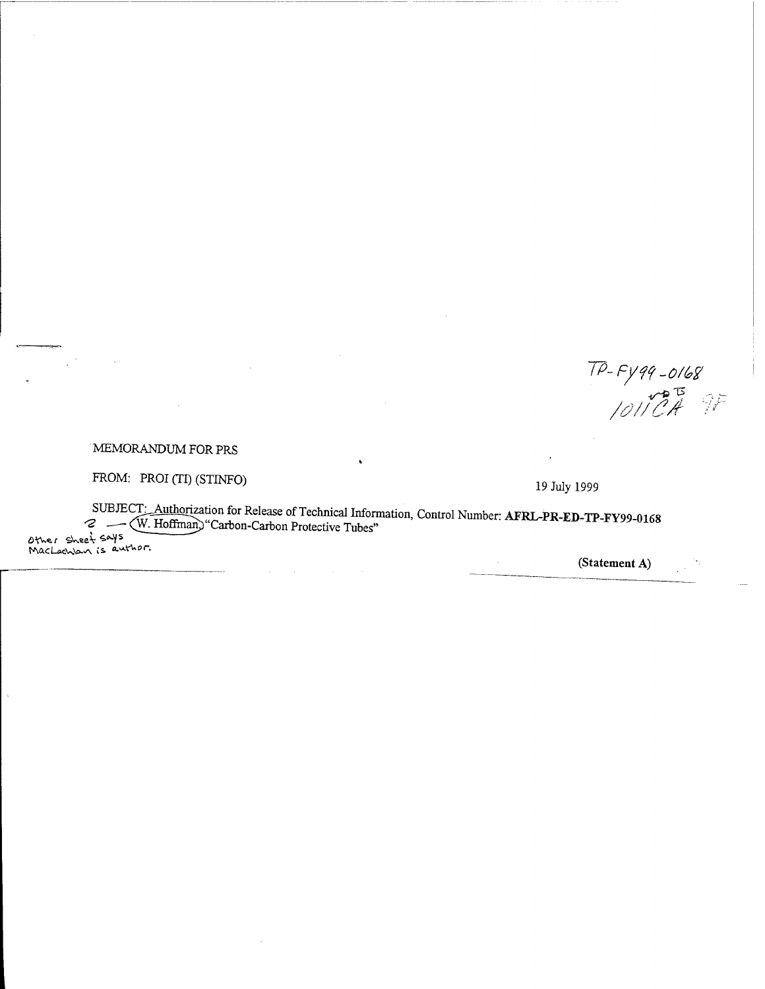TP-FY99-0168<br>|011 CA

 $\gamma_j$  $\frac{1}{2}$  ,  $\frac{1}{2}$ 

## MEMORANDUM FOR PRS

 $\bar{\gamma}$ 

FROM: PROI (TI) (STINFO)

 $\mathbb{R}$ 

19 July 1999

 $\mathcal{L}^{\mathcal{A}}$ 

SUBJECT: Authorization for Release of Technical Information, Control Number: AFRL-PR-ED-TP-FY99-0168 Other sheet says<br>M. Hoffman, "Carbon-Carbon Protective Tubes"<br>MacLaenban is author.

(Statement A)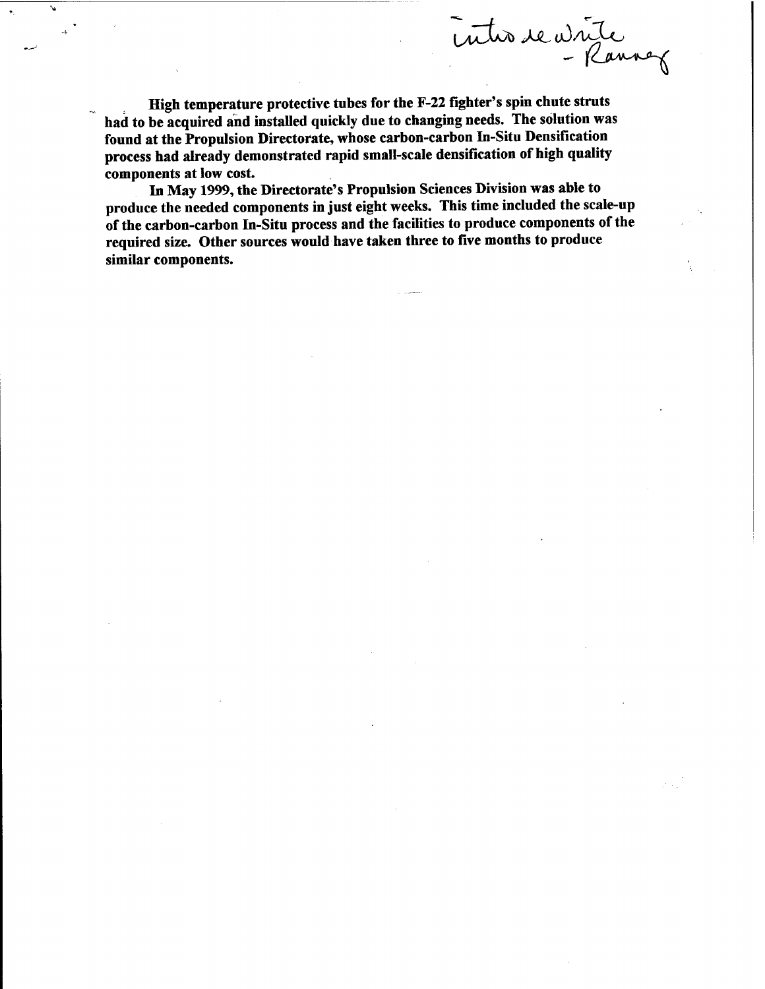intre de vinte

High temperature protective tubes for the F-22 fighter's spin chute struts had to be acquired and installed quickly due to changing needs. The solution was found at the Propulsion Directorate, whose carbon-carbon In-Situ Densification process had already demonstrated rapid small-scale densification of high quality components at low cost.

In May 1999, the Directorate's Propulsion Sciences Division was able to produce the needed components in just eight weeks. This time included the scale-up of the carbon-carbon In-Situ process and the facilities to produce components of the required size. Other sources would have taken three to five months to produce similar components.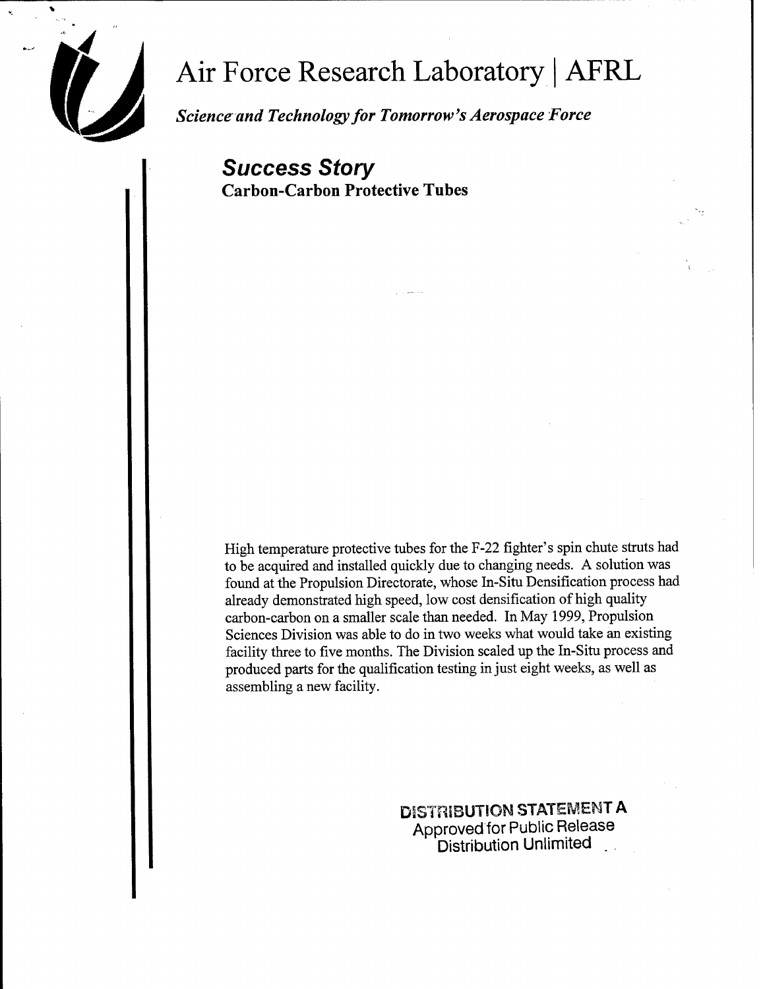

# Air Force Research Laboratory <sup>|</sup> AFRL

*Science and Technologyfor Tomorrow's Aerospace Force*

*Success Story* Carbon-Carbon Protective Tubes

High temperature protective tubes for the F-22 fighter's spin chute struts had to be acquired and installed quickly due to changing needs. A solution was found at the Propulsion Directorate, whose In-Situ Densification process had already demonstrated high speed, low cost densification of high quality carbon-carbon on a smaller scale than needed. In May 1999, Propulsion Sciences Division was able to do in two weeks what would take an existing facility three to five months. The Division scaled up the In-Situ process and produced parts for the qualification testing in just eight weeks, as well as assembling a new facility.

> **DISTRIBUTION STATEMENT A** Approved for Public Release Distribution Unlimited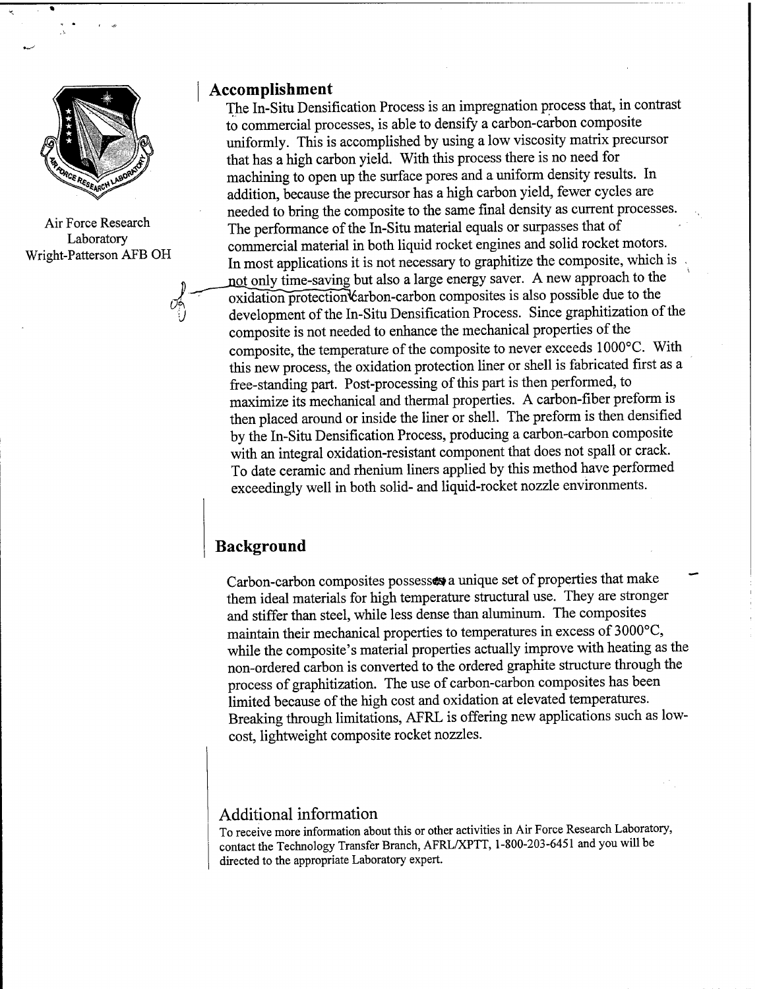

Air Force Research Laboratory Wright-Patterson AFB OH

#### **Accomplishment**

The In-Situ Densification Process is an impregnation process that, in contrast to commercial processes, is able to density a carbon-carbon composite uniformly. This is accomplished by using a low viscosity matrix precursor that has a high carbon yield. With this process there is no need for machining to open up the surface pores and a uniform density results. In addition, because the precursor has a high carbon yield, fewer cycles are needed to bring the composite to the same final density as current processes. The performance of the In-Situ material equals or surpasses that of commercial material in both liquid rocket engines and solid rocket motors. In most applications it is not necessary to graphitize the composite, which is not only time-saving but also a large energy saver. A new approach to the oxidation protection carbon-carbon composites is also possible due to the development of the In-Situ Densification Process. Since graphitization of the composite is not needed to enhance the mechanical properties of the composite, the temperature of the composite to never exceeds 1000°C. With this new process, the oxidation protection liner or shell is fabricated first as a free-standing part. Post-processing of this part is then performed, to maximize its mechanical and thermal properties. A carbon-fiber preform is then placed around or inside the liner or shell. The preform is then densified by the In-Situ Densification Process, producing a carbon-carbon composite with an integral oxidation-resistant component that does not spall or crack. To date ceramic and rhenium liners applied by this method have performed exceedingly well in both solid- and liquid-rocket nozzle environments.

# **Background**

Carbon-carbon composites possesses a unique set of properties that make them ideal materials for high temperature structural use. They are stronger and stiffer than steel, while less dense than aluminum. The composites maintain their mechanical properties to temperatures in excess of 3000°C, while the composite's material properties actually improve with heating as the non-ordered carbon is converted to the ordered graphite structure through the process of graphitization. The use of carbon-carbon composites has been limited because of the high cost and oxidation at elevated temperatures. Breaking through limitations, AFRL is offering new applications such as lowcost, lightweight composite rocket nozzles.

### **Additional** information

To receive more information about this or other activities in Air Force Research Laboratory, contact the Technology Transfer Branch, AFRL/XPTT, 1-800-203-6451 and you will be directed to the appropriate Laboratory expert.